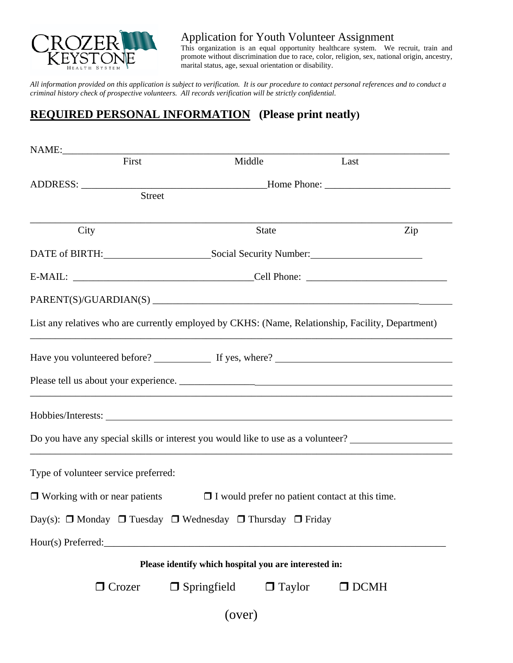

 Application for Youth Volunteer Assignment This organization is an equal opportunity healthcare system. We recruit, train and

promote without discrimination due to race, color, religion, sex, national origin, ancestry, marital status, age, sexual orientation or disability.

*All information provided on this application is subject to verification. It is our procedure to contact personal references and to conduct a criminal history check of prospective volunteers. All records verification will be strictly confidential.* 

## **REQUIRED PERSONAL INFORMATION (Please print neatly)**

| First                                                                                             |                                                       | Middle                                                 | Last                                                                             |  |
|---------------------------------------------------------------------------------------------------|-------------------------------------------------------|--------------------------------------------------------|----------------------------------------------------------------------------------|--|
|                                                                                                   |                                                       |                                                        |                                                                                  |  |
|                                                                                                   | Street                                                |                                                        |                                                                                  |  |
| City                                                                                              |                                                       | State                                                  | Zip                                                                              |  |
|                                                                                                   | DATE of BIRTH: Social Security Number:                |                                                        |                                                                                  |  |
|                                                                                                   |                                                       |                                                        |                                                                                  |  |
|                                                                                                   |                                                       |                                                        |                                                                                  |  |
| List any relatives who are currently employed by CKHS: (Name, Relationship, Facility, Department) |                                                       |                                                        |                                                                                  |  |
|                                                                                                   |                                                       |                                                        |                                                                                  |  |
|                                                                                                   |                                                       |                                                        |                                                                                  |  |
|                                                                                                   |                                                       |                                                        |                                                                                  |  |
|                                                                                                   |                                                       |                                                        | Do you have any special skills or interest you would like to use as a volunteer? |  |
| Type of volunteer service preferred:                                                              |                                                       |                                                        |                                                                                  |  |
| $\Box$ Working with or near patients                                                              |                                                       | $\Box$ I would prefer no patient contact at this time. |                                                                                  |  |
| Day(s): $\Box$ Monday $\Box$ Tuesday $\Box$ Wednesday $\Box$ Thursday $\Box$ Friday               |                                                       |                                                        |                                                                                  |  |
| Hour(s) Preferred:                                                                                |                                                       |                                                        |                                                                                  |  |
|                                                                                                   | Please identify which hospital you are interested in: |                                                        |                                                                                  |  |
| $\Box$ Crozer                                                                                     | $\Box$ Springfield                                    | $\Box$ Taylor                                          | $\Box$ DCMH                                                                      |  |
|                                                                                                   | (over)                                                |                                                        |                                                                                  |  |